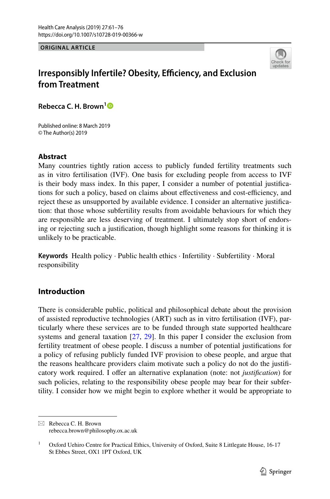**ORIGINAL ARTICLE**



# **Irresponsibly Infertile? Obesity, Efficiency, and Exclusion from Treatment**

**Rebecca C. H. Brown[1](http://orcid.org/0000-0001-8023-1092)**

Published online: 8 March 2019 © The Author(s) 2019

### **Abstract**

Many countries tightly ration access to publicly funded fertility treatments such as in vitro fertilisation (IVF). One basis for excluding people from access to IVF is their body mass index. In this paper, I consider a number of potential justifcations for such a policy, based on claims about effectiveness and cost-efficiency, and reject these as unsupported by available evidence. I consider an alternative justifcation: that those whose subfertility results from avoidable behaviours for which they are responsible are less deserving of treatment. I ultimately stop short of endorsing or rejecting such a justifcation, though highlight some reasons for thinking it is unlikely to be practicable.

**Keywords** Health policy · Public health ethics · Infertility · Subfertility · Moral responsibility

# **Introduction**

There is considerable public, political and philosophical debate about the provision of assisted reproductive technologies (ART) such as in vitro fertilisation (IVF), particularly where these services are to be funded through state supported healthcare systems and general taxation  $[27, 29]$  $[27, 29]$  $[27, 29]$  $[27, 29]$ . In this paper I consider the exclusion from fertility treatment of obese people. I discuss a number of potential justifcations for a policy of refusing publicly funded IVF provision to obese people, and argue that the reasons healthcare providers claim motivate such a policy do not do the justifcatory work required. I offer an alternative explanation (note: not *justification*) for such policies, relating to the responsibility obese people may bear for their subfertility. I consider how we might begin to explore whether it would be appropriate to

 $\boxtimes$  Rebecca C. H. Brown rebecca.brown@philosophy.ox.ac.uk

<sup>&</sup>lt;sup>1</sup> Oxford Uehiro Centre for Practical Ethics, University of Oxford, Suite 8 Littlegate House, 16-17 St Ebbes Street, OX1 1PT Oxford, UK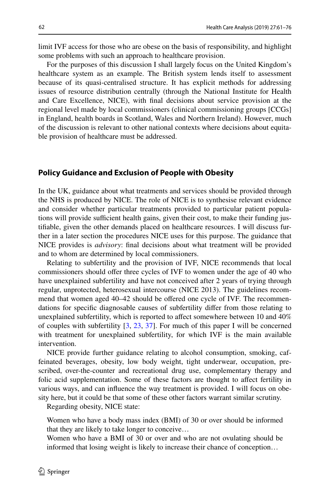limit IVF access for those who are obese on the basis of responsibility, and highlight some problems with such an approach to healthcare provision.

For the purposes of this discussion I shall largely focus on the United Kingdom's healthcare system as an example. The British system lends itself to assessment because of its quasi-centralised structure. It has explicit methods for addressing issues of resource distribution centrally (through the National Institute for Health and Care Excellence, NICE), with fnal decisions about service provision at the regional level made by local commissioners (clinical commissioning groups [CCGs] in England, health boards in Scotland, Wales and Northern Ireland). However, much of the discussion is relevant to other national contexts where decisions about equitable provision of healthcare must be addressed.

#### **Policy Guidance and Exclusion of People with Obesity**

In the UK, guidance about what treatments and services should be provided through the NHS is produced by NICE. The role of NICE is to synthesise relevant evidence and consider whether particular treatments provided to particular patient populations will provide sufficient health gains, given their cost, to make their funding justifable, given the other demands placed on healthcare resources. I will discuss further in a later section the procedures NICE uses for this purpose. The guidance that NICE provides is *advisory*: fnal decisions about what treatment will be provided and to whom are determined by local commissioners.

Relating to subfertility and the provision of IVF, NICE recommends that local commissioners should ofer three cycles of IVF to women under the age of 40 who have unexplained subfertility and have not conceived after 2 years of trying through regular, unprotected, heterosexual intercourse (NICE 2013). The guidelines recommend that women aged 40–42 should be offered one cycle of IVF. The recommendations for specifc diagnosable causes of subfertility difer from those relating to unexplained subfertility, which is reported to afect somewhere between 10 and 40% of couples with subfertility [\[3](#page-12-0), [23](#page-13-0), [37\]](#page-14-2). For much of this paper I will be concerned with treatment for unexplained subfertility, for which IVF is the main available intervention.

NICE provide further guidance relating to alcohol consumption, smoking, caffeinated beverages, obesity, low body weight, tight underwear, occupation, prescribed, over-the-counter and recreational drug use, complementary therapy and folic acid supplementation. Some of these factors are thought to affect fertility in various ways, and can infuence the way treatment is provided. I will focus on obesity here, but it could be that some of these other factors warrant similar scrutiny.

Regarding obesity, NICE state:

Women who have a body mass index (BMI) of 30 or over should be informed that they are likely to take longer to conceive…

Women who have a BMI of 30 or over and who are not ovulating should be informed that losing weight is likely to increase their chance of conception…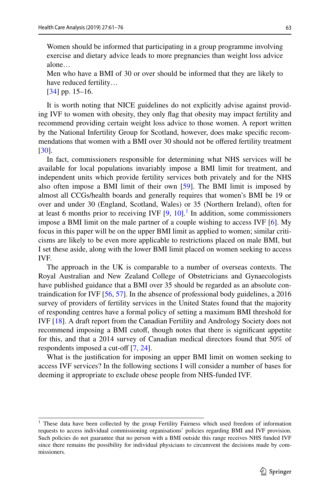Women should be informed that participating in a group programme involving exercise and dietary advice leads to more pregnancies than weight loss advice alone…

Men who have a BMI of 30 or over should be informed that they are likely to have reduced fertility…

[[34\]](#page-14-3) pp. 15–16.

It is worth noting that NICE guidelines do not explicitly advise against providing IVF to women with obesity, they only fag that obesity may impact fertility and recommend providing certain weight loss advice to those women. A report written by the National Infertility Group for Scotland, however, does make specifc recommendations that women with a BMI over 30 should not be ofered fertility treatment [\[30](#page-14-4)].

In fact, commissioners responsible for determining what NHS services will be available for local populations invariably impose a BMI limit for treatment, and independent units which provide fertility services both privately and for the NHS also often impose a BMI limit of their own [[59\]](#page-15-0). The BMI limit is imposed by almost all CCGs/health boards and generally requires that women's BMI be 19 or over and under 30 (England, Scotland, Wales) or 35 (Northern Ireland), often for at least 6 months prior to receiving IVF  $[9, 10]$  $[9, 10]$  $[9, 10]$  $[9, 10]$  $[9, 10]$ .<sup>1</sup> In addition, some commissioners impose a BMI limit on the male partner of a couple wishing to access IVF [[6\]](#page-13-3). My focus in this paper will be on the upper BMI limit as applied to women; similar criticisms are likely to be even more applicable to restrictions placed on male BMI, but I set these aside, along with the lower BMI limit placed on women seeking to access IVF.

The approach in the UK is comparable to a number of overseas contexts. The Royal Australian and New Zealand College of Obstetricians and Gynaecologists have published guidance that a BMI over 35 should be regarded as an absolute contraindication for IVF [\[56](#page-14-5), [57](#page-15-1)]. In the absence of professional body guidelines, a 2016 survey of providers of fertility services in the United States found that the majority of responding centres have a formal policy of setting a maximum BMI threshold for IVF [[18\]](#page-13-4). A draft report from the Canadian Fertility and Andrology Society does not recommend imposing a BMI cutoff, though notes that there is significant appetite for this, and that a 2014 survey of Canadian medical directors found that 50% of respondents imposed a cut-off [[7,](#page-13-5) [24\]](#page-13-6).

What is the justifcation for imposing an upper BMI limit on women seeking to access IVF services? In the following sections I will consider a number of bases for deeming it appropriate to exclude obese people from NHS-funded IVF.

<span id="page-2-0"></span><sup>&</sup>lt;sup>1</sup> These data have been collected by the group Fertility Fairness which used freedom of information requests to access individual commissioning organisations' policies regarding BMI and IVF provision. Such policies do not guarantee that no person with a BMI outside this range receives NHS funded IVF since there remains the possibility for individual physicians to circumvent the decisions made by commissioners.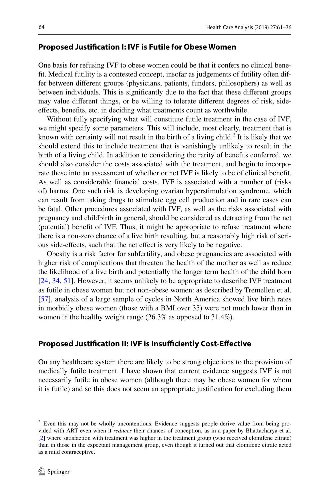#### **Proposed Justifcation I: IVF is Futile for Obese Women**

One basis for refusing IVF to obese women could be that it confers no clinical beneft. Medical futility is a contested concept, insofar as judgements of futility often differ between diferent groups (physicians, patients, funders, philosophers) as well as between individuals. This is signifcantly due to the fact that these diferent groups may value diferent things, or be willing to tolerate diferent degrees of risk, sideefects, benefts, etc. in deciding what treatments count as worthwhile.

Without fully specifying what will constitute futile treatment in the case of IVF, we might specify some parameters. This will include, most clearly, treatment that is known with certainty will not result in the birth of a living child.<sup>2</sup> It is likely that we should extend this to include treatment that is vanishingly unlikely to result in the birth of a living child. In addition to considering the rarity of benefts conferred, we should also consider the costs associated with the treatment, and begin to incorporate these into an assessment of whether or not IVF is likely to be of clinical beneft. As well as considerable fnancial costs, IVF is associated with a number of (risks of) harms. One such risk is developing ovarian hyperstimulation syndrome, which can result from taking drugs to stimulate egg cell production and in rare cases can be fatal. Other procedures associated with IVF, as well as the risks associated with pregnancy and childbirth in general, should be considered as detracting from the net (potential) beneft of IVF. Thus, it might be appropriate to refuse treatment where there is a non-zero chance of a live birth resulting, but a reasonably high risk of serious side-efects, such that the net efect is very likely to be negative.

Obesity is a risk factor for subfertility, and obese pregnancies are associated with higher risk of complications that threaten the health of the mother as well as reduce the likelihood of a live birth and potentially the longer term health of the child born [\[24](#page-13-6), [34,](#page-14-3) [51\]](#page-14-6). However, it seems unlikely to be appropriate to describe IVF treatment as futile in obese women but not non-obese women: as described by Tremellen et al. [\[57](#page-15-1)], analysis of a large sample of cycles in North America showed live birth rates in morbidly obese women (those with a BMI over 35) were not much lower than in women in the healthy weight range (26.3% as opposed to 31.4%).

#### **Proposed Justification II: IVF is Insufficiently Cost-Effective**

On any healthcare system there are likely to be strong objections to the provision of medically futile treatment. I have shown that current evidence suggests IVF is not necessarily futile in obese women (although there may be obese women for whom it is futile) and so this does not seem an appropriate justifcation for excluding them

<span id="page-3-0"></span><sup>&</sup>lt;sup>2</sup> Even this may not be wholly uncontentious. Evidence suggests people derive value from being provided with ART even when it *reduces* their chances of conception, as in a paper by Bhattacharya et al. [[2\]](#page-12-1) where satisfaction with treatment was higher in the treatment group (who received clomifene citrate) than in those in the expectant management group, even though it turned out that clomifene citrate acted as a mild contraceptive.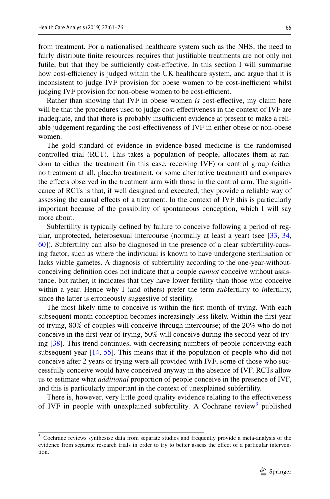65

from treatment. For a nationalised healthcare system such as the NHS, the need to fairly distribute fnite resources requires that justifable treatments are not only not futile, but that they be sufficiently cost-effective. In this section I will summarise how cost-efficiency is judged within the UK healthcare system, and argue that it is inconsistent to judge IVF provision for obese women to be cost-inefficient whilst judging IVF provision for non-obese women to be cost-efficient.

Rather than showing that IVF in obese women *is* cost-efective, my claim here will be that the procedures used to judge cost-efectiveness in the context of IVF are inadequate, and that there is probably insufficient evidence at present to make a reliable judgement regarding the cost-efectiveness of IVF in either obese or non-obese women.

The gold standard of evidence in evidence-based medicine is the randomised controlled trial (RCT). This takes a population of people, allocates them at random to either the treatment (in this case, receiving IVF) or control group (either no treatment at all, placebo treatment, or some alternative treatment) and compares the efects observed in the treatment arm with those in the control arm. The signifcance of RCTs is that, if well designed and executed, they provide a reliable way of assessing the causal efects of a treatment. In the context of IVF this is particularly important because of the possibility of spontaneous conception, which I will say more about.

Subfertility is typically defned by failure to conceive following a period of regular, unprotected, heterosexual intercourse (normally at least a year) (see [[33,](#page-14-7) [34,](#page-14-3) [60](#page-15-2)]). Subfertility can also be diagnosed in the presence of a clear subfertility-causing factor, such as where the individual is known to have undergone sterilisation or lacks viable gametes. A diagnosis of subfertility according to the one-year-withoutconceiving defnition does not indicate that a couple *cannot* conceive without assistance, but rather, it indicates that they have lower fertility than those who conceive within a year. Hence why I (and others) prefer the term *sub*fertility to *in*fertility, since the latter is erroneously suggestive of sterility.

The most likely time to conceive is within the frst month of trying. With each subsequent month conception becomes increasingly less likely. Within the frst year of trying, 80% of couples will conceive through intercourse; of the 20% who do not conceive in the frst year of trying, 50% will conceive during the second year of trying [\[38](#page-14-8)]. This trend continues, with decreasing numbers of people conceiving each subsequent year [\[14](#page-13-7), [55](#page-14-9)]. This means that if the population of people who did not conceive after 2 years of trying were all provided with IVF, some of those who successfully conceive would have conceived anyway in the absence of IVF. RCTs allow us to estimate what *additional* proportion of people conceive in the presence of IVF, and this is particularly important in the context of unexplained subfertility.

There is, however, very little good quality evidence relating to the efectiveness of IVF in people with unexplained subfertility. A Cochrane review<sup>[3](#page-4-0)</sup> published

<span id="page-4-0"></span><sup>3</sup> Cochrane reviews synthesise data from separate studies and frequently provide a meta-analysis of the evidence from separate research trials in order to try to better assess the efect of a particular intervention.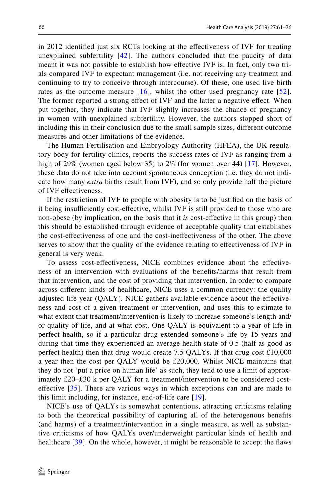in 2012 identifed just six RCTs looking at the efectiveness of IVF for treating unexplained subfertility  $[42]$  $[42]$  $[42]$ . The authors concluded that the paucity of data meant it was not possible to establish how efective IVF is. In fact, only two trials compared IVF to expectant management (i.e. not receiving any treatment and continuing to try to conceive through intercourse). Of these, one used live birth rates as the outcome measure [\[16](#page-13-8)], whilst the other used pregnancy rate [[52](#page-14-11)]. The former reported a strong efect of IVF and the latter a negative efect. When put together, they indicate that IVF slightly increases the chance of pregnancy in women with unexplained subfertility. However, the authors stopped short of including this in their conclusion due to the small sample sizes, diferent outcome measures and other limitations of the evidence.

The Human Fertilisation and Embryology Authority (HFEA), the UK regulatory body for fertility clinics, reports the success rates of IVF as ranging from a high of 29% (women aged below 35) to 2% (for women over 44) [[17](#page-13-9)]. However, these data do not take into account spontaneous conception (i.e. they do not indicate how many *extra* births result from IVF), and so only provide half the picture of IVF efectiveness.

If the restriction of IVF to people with obesity is to be justifed on the basis of it being insufficiently cost-effective, whilst IVF is still provided to those who are non-obese (by implication, on the basis that it *is* cost-efective in this group) then this should be established through evidence of acceptable quality that establishes the cost-efectiveness of one and the cost-inefectiveness of the other. The above serves to show that the quality of the evidence relating to efectiveness of IVF in general is very weak.

To assess cost-efectiveness, NICE combines evidence about the efectiveness of an intervention with evaluations of the benefts/harms that result from that intervention, and the cost of providing that intervention. In order to compare across diferent kinds of healthcare, NICE uses a common currency: the quality adjusted life year (QALY). NICE gathers available evidence about the efectiveness and cost of a given treatment or intervention, and uses this to estimate to what extent that treatment/intervention is likely to increase someone's length and/ or quality of life, and at what cost. One QALY is equivalent to a year of life in perfect health, so if a particular drug extended someone's life by 15 years and during that time they experienced an average health state of 0.5 (half as good as perfect health) then that drug would create 7.5 QALYs. If that drug cost  $\pounds 10,000$ a year then the cost per QALY would be £20,000. Whilst NICE maintains that they do not 'put a price on human life' as such, they tend to use a limit of approximately £20–£30 k per QALY for a treatment/intervention to be considered costefective [\[35\]](#page-14-12). There are various ways in which exceptions can and are made to this limit including, for instance, end-of-life care [[19](#page-13-10)].

NICE's use of QALYs is somewhat contentious, attracting criticisms relating to both the theoretical possibility of capturing all of the heterogenous benefts (and harms) of a treatment/intervention in a single measure, as well as substantive criticisms of how QALYs over/underweight particular kinds of health and healthcare [[39\]](#page-14-13). On the whole, however, it might be reasonable to accept the faws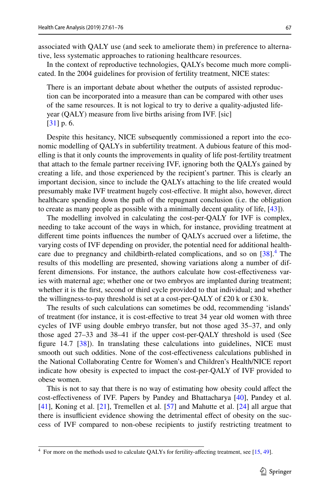associated with QALY use (and seek to ameliorate them) in preference to alternative, less systematic approaches to rationing healthcare resources.

In the context of reproductive technologies, QALYs become much more complicated. In the 2004 guidelines for provision of fertility treatment, NICE states:

There is an important debate about whether the outputs of assisted reproduction can be incorporated into a measure than can be compared with other uses of the same resources. It is not logical to try to derive a quality-adjusted lifeyear (QALY) measure from live births arising from IVF. [sic] [[31\]](#page-14-14) p. 6.

Despite this hesitancy, NICE subsequently commissioned a report into the economic modelling of QALYs in subfertility treatment. A dubious feature of this modelling is that it only counts the improvements in quality of life post-fertility treatment that attach to the female partner receiving IVF, ignoring both the QALYs gained by creating a life, and those experienced by the recipient's partner. This is clearly an important decision, since to include the QALYs attaching to the life created would presumably make IVF treatment hugely cost-efective. It might also, however, direct healthcare spending down the path of the repugnant conclusion (i.e. the obligation to create as many people as possible with a minimally decent quality of life, [[43\]](#page-14-15)).

The modelling involved in calculating the cost-per-QALY for IVF is complex, needing to take account of the ways in which, for instance, providing treatment at diferent time points infuences the number of QALYs accrued over a lifetime, the varying costs of IVF depending on provider, the potential need for additional healthcare due to pregnancy and childbirth-related complications, and so on  $[38]$  $[38]$ .<sup>4</sup> The results of this modelling are presented, showing variations along a number of different dimensions. For instance, the authors calculate how cost-efectiveness varies with maternal age; whether one or two embryos are implanted during treatment; whether it is the frst, second or third cycle provided to that individual; and whether the willingness-to-pay threshold is set at a cost-per-QALY of £20 k or £30 k.

The results of such calculations can sometimes be odd, recommending 'islands' of treatment (for instance, it is cost-efective to treat 34 year old women with three cycles of IVF using double embryo transfer, but not those aged 35–37, and only those aged 27–33 and 38–41 if the upper cost-per-QALY threshold is used (See fgure 14.7 [[38\]](#page-14-8)). In translating these calculations into guidelines, NICE must smooth out such oddities. None of the cost-efectiveness calculations published in the National Collaborating Centre for Women's and Children's Health/NICE report indicate how obesity is expected to impact the cost-per-QALY of IVF provided to obese women.

This is not to say that there is no way of estimating how obesity could afect the cost-efectiveness of IVF. Papers by Pandey and Bhattacharya [[40\]](#page-14-16), Pandey et al. [\[41](#page-14-17)], Koning et al. [[21\]](#page-13-11), Tremellen et al. [[57\]](#page-15-1) and Mahutte et al. [[24\]](#page-13-6) all argue that there is insufficient evidence showing the detrimental effect of obesity on the success of IVF compared to non-obese recipients to justify restricting treatment to

<span id="page-6-0"></span><sup>&</sup>lt;sup>4</sup> For more on the methods used to calculate QALYs for fertility-affecting treatment, see [[15,](#page-13-12) [49\]](#page-14-18).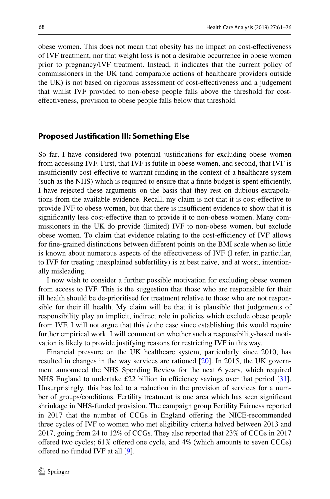obese women. This does not mean that obesity has no impact on cost-efectiveness of IVF treatment, nor that weight loss is not a desirable occurrence in obese women prior to pregnancy/IVF treatment. Instead, it indicates that the current policy of commissioners in the UK (and comparable actions of healthcare providers outside the UK) is not based on rigorous assessment of cost-efectiveness and a judgement that whilst IVF provided to non-obese people falls above the threshold for costefectiveness, provision to obese people falls below that threshold.

#### **Proposed Justifcation III: Something Else**

So far, I have considered two potential justifcations for excluding obese women from accessing IVF. First, that IVF is futile in obese women, and second, that IVF is insufficiently cost-effective to warrant funding in the context of a healthcare system (such as the NHS) which is required to ensure that a finite budget is spent efficiently. I have rejected these arguments on the basis that they rest on dubious extrapolations from the available evidence. Recall, my claim is not that it is cost-efective to provide IVF to obese women, but that there is insufficient evidence to show that it is signifcantly less cost-efective than to provide it to non-obese women. Many commissioners in the UK do provide (limited) IVF to non-obese women, but exclude obese women. To claim that evidence relating to the cost-efficiency of IVF allows for fne-grained distinctions between diferent points on the BMI scale when so little is known about numerous aspects of the efectiveness of IVF (I refer, in particular, to IVF for treating unexplained subfertility) is at best naive, and at worst, intentionally misleading.

I now wish to consider a further possible motivation for excluding obese women from access to IVF. This is the suggestion that those who are responsible for their ill health should be de-prioritised for treatment relative to those who are not responsible for their ill health. My claim will be that it is plausible that judgements of responsibility play an implicit, indirect role in policies which exclude obese people from IVF. I will not argue that this *is* the case since establishing this would require further empirical work. I will comment on whether such a responsibility-based motivation is likely to provide justifying reasons for restricting IVF in this way.

Financial pressure on the UK healthcare system, particularly since 2010, has resulted in changes in the way services are rationed [\[20](#page-13-13)]. In 2015, the UK government announced the NHS Spending Review for the next 6 years, which required NHS England to undertake £22 billion in efficiency savings over that period  $[31]$  $[31]$ . Unsurprisingly, this has led to a reduction in the provision of services for a number of groups/conditions. Fertility treatment is one area which has seen signifcant shrinkage in NHS-funded provision. The campaign group Fertility Fairness reported in 2017 that the number of CCGs in England offering the NICE-recommended three cycles of IVF to women who met eligibility criteria halved between 2013 and 2017, going from 24 to 12% of CCGs. They also reported that 23% of CCGs in 2017 offered two cycles; 61% offered one cycle, and 4% (which amounts to seven CCGs) ofered no funded IVF at all [[9\]](#page-13-1).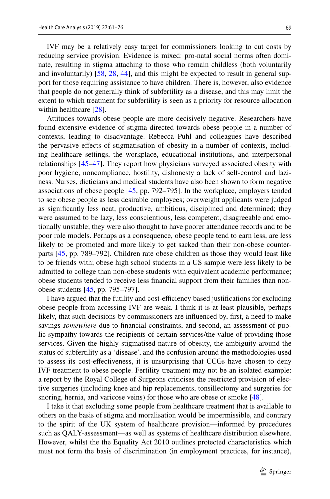IVF may be a relatively easy target for commissioners looking to cut costs by reducing service provision. Evidence is mixed: pro-natal social norms often dominate, resulting in stigma attaching to those who remain childless (both voluntarily and involuntarily) [\[58](#page-15-3), [28,](#page-14-19) [44\]](#page-14-20), and this might be expected to result in general support for those requiring assistance to have children. There is, however, also evidence that people do not generally think of subfertility as a disease, and this may limit the extent to which treatment for subfertility is seen as a priority for resource allocation within healthcare [\[28](#page-14-19)].

Attitudes towards obese people are more decisively negative. Researchers have found extensive evidence of stigma directed towards obese people in a number of contexts, leading to disadvantage. Rebecca Puhl and colleagues have described the pervasive efects of stigmatisation of obesity in a number of contexts, including healthcare settings, the workplace, educational institutions, and interpersonal relationships [\[45](#page-14-21)[–47](#page-14-22)]. They report how physicians surveyed associated obesity with poor hygiene, noncompliance, hostility, dishonesty a lack of self-control and laziness. Nurses, dieticians and medical students have also been shown to form negative associations of obese people [\[45](#page-14-21), pp. 792–795]. In the workplace, employers tended to see obese people as less desirable employees; overweight applicants were judged as signifcantly less neat, productive, ambitious, disciplined and determined; they were assumed to be lazy, less conscientious, less competent, disagreeable and emotionally unstable; they were also thought to have poorer attendance records and to be poor role models. Perhaps as a consequence, obese people tend to earn less, are less likely to be promoted and more likely to get sacked than their non-obese counterparts [\[45](#page-14-21), pp. 789–792]. Children rate obese children as those they would least like to be friends with; obese high school students in a US sample were less likely to be admitted to college than non-obese students with equivalent academic performance; obese students tended to receive less fnancial support from their families than nonobese students [[45,](#page-14-21) pp. 795–797].

I have argued that the futility and cost-efficiency based justifications for excluding obese people from accessing IVF are weak. I think it is at least plausible, perhaps likely, that such decisions by commissioners are infuenced by, frst, a need to make savings *somewhere* due to fnancial constraints, and second, an assessment of public sympathy towards the recipients of certain services/the value of providing those services. Given the highly stigmatised nature of obesity, the ambiguity around the status of subfertility as a 'disease', and the confusion around the methodologies used to assess its cost-efectiveness, it is unsurprising that CCGs have chosen to deny IVF treatment to obese people. Fertility treatment may not be an isolated example: a report by the Royal College of Surgeons criticises the restricted provision of elective surgeries (including knee and hip replacements, tonsillectomy and surgeries for snoring, hernia, and varicose veins) for those who are obese or smoke [[48\]](#page-14-23).

I take it that excluding some people from healthcare treatment that is available to others on the basis of stigma and moralisation would be impermissible, and contrary to the spirit of the UK system of healthcare provision—informed by procedures such as QALY-assessment—as well as systems of healthcare distribution elsewhere. However, whilst the the Equality Act 2010 outlines protected characteristics which must not form the basis of discrimination (in employment practices, for instance),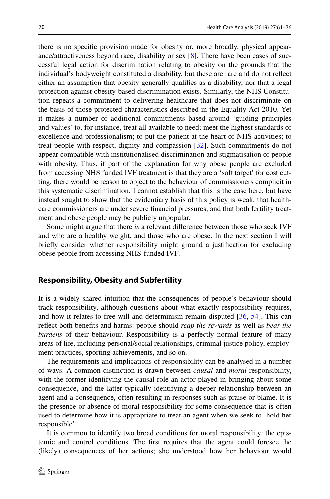there is no specifc provision made for obesity or, more broadly, physical appearance/attractiveness beyond race, disability or sex [[8\]](#page-13-14). There have been cases of successful legal action for discrimination relating to obesity on the grounds that the individual's bodyweight constituted a disability, but these are rare and do not refect either an assumption that obesity generally qualifes as a disability, nor that a legal protection against obesity-based discrimination exists. Similarly, the NHS Constitution repeats a commitment to delivering healthcare that does not discriminate on the basis of those protected characteristics described in the Equality Act 2010. Yet it makes a number of additional commitments based around 'guiding principles and values' to, for instance, treat all available to need; meet the highest standards of excellence and professionalism; to put the patient at the heart of NHS activities; to treat people with respect, dignity and compassion [[32\]](#page-14-24). Such commitments do not appear compatible with institutionalised discrimination and stigmatisation of people with obesity. Thus, if part of the explanation for why obese people are excluded from accessing NHS funded IVF treatment is that they are a 'soft target' for cost cutting, there would be reason to object to the behaviour of commissioners complicit in this systematic discrimination. I cannot establish that this is the case here, but have instead sought to show that the evidentiary basis of this policy is weak, that healthcare commissioners are under severe fnancial pressures, and that both fertility treatment and obese people may be publicly unpopular.

Some might argue that there *is* a relevant diference between those who seek IVF and who are a healthy weight, and those who are obese. In the next section I will briefy consider whether responsibility might ground a justifcation for excluding obese people from accessing NHS-funded IVF.

#### **Responsibility, Obesity and Subfertility**

It is a widely shared intuition that the consequences of people's behaviour should track responsibility, although questions about what exactly responsibility requires, and how it relates to free will and determinism remain disputed [[36,](#page-14-25) [54](#page-14-26)]. This can refect both benefts and harms: people should *reap the rewards* as well as *bear the burdens* of their behaviour. Responsibility is a perfectly normal feature of many areas of life, including personal/social relationships, criminal justice policy, employment practices, sporting achievements, and so on.

The requirements and implications of responsibility can be analysed in a number of ways. A common distinction is drawn between *causal* and *moral* responsibility, with the former identifying the causal role an actor played in bringing about some consequence, and the latter typically identifying a deeper relationship between an agent and a consequence, often resulting in responses such as praise or blame. It is the presence or absence of moral responsibility for some consequence that is often used to determine how it is appropriate to treat an agent when we seek to 'hold her responsible'.

It is common to identify two broad conditions for moral responsibility: the epistemic and control conditions. The frst requires that the agent could foresee the (likely) consequences of her actions; she understood how her behaviour would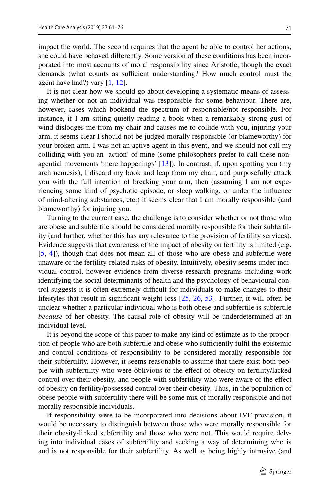impact the world. The second requires that the agent be able to control her actions; she could have behaved diferently. Some version of these conditions has been incorporated into most accounts of moral responsibility since Aristotle, though the exact demands (what counts as sufficient understanding? How much control must the agent have had?) vary [\[1](#page-12-2), [12](#page-13-15)].

It is not clear how we should go about developing a systematic means of assessing whether or not an individual was responsible for some behaviour. There are, however, cases which bookend the spectrum of responsible/not responsible. For instance, if I am sitting quietly reading a book when a remarkably strong gust of wind dislodges me from my chair and causes me to collide with you, injuring your arm, it seems clear I should not be judged morally responsible (or blameworthy) for your broken arm. I was not an active agent in this event, and we should not call my colliding with you an 'action' of mine (some philosophers prefer to call these nonagential movements 'mere happenings' [[13\]](#page-13-16)). In contrast, if, upon spotting you (my arch nemesis), I discard my book and leap from my chair, and purposefully attack you with the full intention of breaking your arm, then (assuming I am not experiencing some kind of psychotic episode, or sleep walking, or under the infuence of mind-altering substances, etc.) it seems clear that I am morally responsible (and blameworthy) for injuring you.

Turning to the current case, the challenge is to consider whether or not those who are obese and subfertile should be considered morally responsible for their subfertility (and further, whether this has any relevance to the provision of fertility services). Evidence suggests that awareness of the impact of obesity on fertility is limited (e.g. [\[5](#page-13-17), [4](#page-13-18)]), though that does not mean all of those who are obese and subfertile were unaware of the fertility-related risks of obesity. Intuitively, obesity seems under individual control, however evidence from diverse research programs including work identifying the social determinants of health and the psychology of behavioural control suggests it is often extremely difficult for individuals to make changes to their lifestyles that result in signifcant weight loss [[25,](#page-13-19) [26](#page-13-20), [53](#page-14-27)]. Further, it will often be unclear whether a particular individual who is both obese and subfertile is subfertile *because* of her obesity. The causal role of obesity will be underdetermined at an individual level.

It is beyond the scope of this paper to make any kind of estimate as to the proportion of people who are both subfertile and obese who sufficiently fulfil the epistemic and control conditions of responsibility to be considered morally responsible for their subfertility. However, it seems reasonable to assume that there exist both people with subfertility who were oblivious to the effect of obesity on fertility/lacked control over their obesity, and people with subfertility who were aware of the efect of obesity on fertility/possessed control over their obesity. Thus, in the population of obese people with subfertility there will be some mix of morally responsible and not morally responsible individuals.

If responsibility were to be incorporated into decisions about IVF provision, it would be necessary to distinguish between those who were morally responsible for their obesity-linked subfertility and those who were not. This would require delving into individual cases of subfertility and seeking a way of determining who is and is not responsible for their subfertility. As well as being highly intrusive (and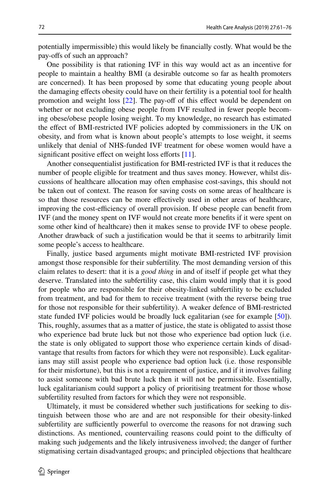potentially impermissible) this would likely be fnancially costly. What would be the pay-ofs of such an approach?

One possibility is that rationing IVF in this way would act as an incentive for people to maintain a healthy BMI (a desirable outcome so far as health promoters are concerned). It has been proposed by some that educating young people about the damaging efects obesity could have on their fertility is a potential tool for health promotion and weight loss [[22\]](#page-13-21). The pay-of of this efect would be dependent on whether or not excluding obese people from IVF resulted in fewer people becoming obese/obese people losing weight. To my knowledge, no research has estimated the efect of BMI-restricted IVF policies adopted by commissioners in the UK on obesity, and from what is known about people's attempts to lose weight, it seems unlikely that denial of NHS-funded IVF treatment for obese women would have a significant positive effect on weight loss efforts [\[11](#page-13-22)].

Another consequentialist justifcation for BMI-restricted IVF is that it reduces the number of people eligible for treatment and thus saves money. However, whilst discussions of healthcare allocation may often emphasise cost-savings, this should not be taken out of context. The reason for saving costs on some areas of healthcare is so that those resources can be more efectively used in other areas of healthcare, improving the cost-efficiency of overall provision. If obese people can benefit from IVF (and the money spent on IVF would not create more benefts if it were spent on some other kind of healthcare) then it makes sense to provide IVF to obese people. Another drawback of such a justifcation would be that it seems to arbitrarily limit some people's access to healthcare.

Finally, justice based arguments might motivate BMI-restricted IVF provision amongst those responsible for their subfertility. The most demanding version of this claim relates to desert: that it is a *good thing* in and of itself if people get what they deserve. Translated into the subfertility case, this claim would imply that it is good for people who are responsible for their obesity-linked subfertility to be excluded from treatment, and bad for them to receive treatment (with the reverse being true for those not responsible for their subfertility). A weaker defence of BMI-restricted state funded IVF policies would be broadly luck egalitarian (see for example [\[50](#page-14-28)]). This, roughly, assumes that as a matter of justice, the state is obligated to assist those who experience bad brute luck but not those who experience bad option luck (i.e. the state is only obligated to support those who experience certain kinds of disadvantage that results from factors for which they were not responsible). Luck egalitarians may still assist people who experience bad option luck (i.e. those responsible for their misfortune), but this is not a requirement of justice, and if it involves failing to assist someone with bad brute luck then it will not be permissible. Essentially, luck egalitarianism could support a policy of prioritising treatment for those whose subfertility resulted from factors for which they were not responsible.

Ultimately, it must be considered whether such justifcations for seeking to distinguish between those who are and are not responsible for their obesity-linked subfertility are sufficiently powerful to overcome the reasons for not drawing such distinctions. As mentioned, countervailing reasons could point to the difficulty of making such judgements and the likely intrusiveness involved; the danger of further stigmatising certain disadvantaged groups; and principled objections that healthcare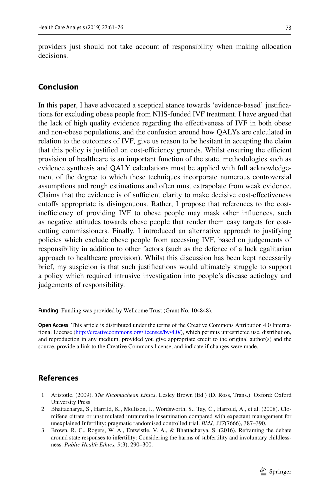providers just should not take account of responsibility when making allocation decisions.

# **Conclusion**

In this paper, I have advocated a sceptical stance towards 'evidence-based' justifcations for excluding obese people from NHS-funded IVF treatment. I have argued that the lack of high quality evidence regarding the efectiveness of IVF in both obese and non-obese populations, and the confusion around how QALYs are calculated in relation to the outcomes of IVF, give us reason to be hesitant in accepting the claim that this policy is justified on cost-efficiency grounds. Whilst ensuring the efficient provision of healthcare is an important function of the state, methodologies such as evidence synthesis and QALY calculations must be applied with full acknowledgement of the degree to which these techniques incorporate numerous controversial assumptions and rough estimations and often must extrapolate from weak evidence. Claims that the evidence is of sufficient clarity to make decisive cost-effectiveness cutofs appropriate is disingenuous. Rather, I propose that references to the costinefficiency of providing IVF to obese people may mask other influences, such as negative attitudes towards obese people that render them easy targets for costcutting commissioners. Finally, I introduced an alternative approach to justifying policies which exclude obese people from accessing IVF, based on judgements of responsibility in addition to other factors (such as the defence of a luck egalitarian approach to healthcare provision). Whilst this discussion has been kept necessarily brief, my suspicion is that such justifcations would ultimately struggle to support a policy which required intrusive investigation into people's disease aetiology and judgements of responsibility.

**Funding** Funding was provided by Wellcome Trust (Grant No. 104848).

**Open Access** This article is distributed under the terms of the Creative Commons Attribution 4.0 International License ([http://creativecommons.org/licenses/by/4.0/\)](http://creativecommons.org/licenses/by/4.0/), which permits unrestricted use, distribution, and reproduction in any medium, provided you give appropriate credit to the original author(s) and the source, provide a link to the Creative Commons license, and indicate if changes were made.

# **References**

- <span id="page-12-2"></span>1. Aristotle. (2009). *The Nicomachean Ethics*. Lesley Brown (Ed.) (D. Ross, Trans.). Oxford: Oxford University Press.
- <span id="page-12-1"></span>2. Bhattacharya, S., Harrild, K., Mollison, J., Wordsworth, S., Tay, C., Harrold, A., et al. (2008). Clomifene citrate or unstimulated intrauterine insemination compared with expectant management for unexplained Infertility: pragmatic randomised controlled trial. *BMJ, 337*(7666), 387–390.
- <span id="page-12-0"></span>3. Brown, R. C., Rogers, W. A., Entwistle, V. A., & Bhattacharya, S. (2016). Reframing the debate around state responses to infertility: Considering the harms of subfertility and involuntary childlessness. *Public Health Ethics, 9*(3), 290–300.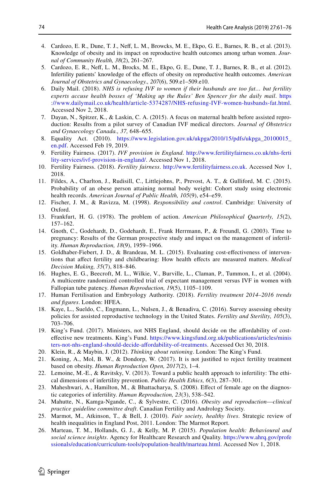- <span id="page-13-18"></span>4. Cardozo, E. R., Dune, T. J., Nef, L. M., Browcks, M. E., Ekpo, G. E., Barnes, R. B., et al. (2013). Knowledge of obesity and its impact on reproductive health outcomes among urban women. *Journal of Community Health, 38*(2), 261–267.
- <span id="page-13-17"></span>5. Cardozo, E. R., Nef, L. M., Brocks, M. E., Ekpo, G. E., Dune, T. J., Barnes, R. B., et al. (2012). Infertility patients' knowledge of the efects of obesity on reproductive health outcomes. *American Journal of Obstetrics and Gynaecology., 207*(6), 509.e1–509.e10.
- <span id="page-13-3"></span>6. Daily Mail. (2018). *NHS is refusing IVF to women if their husbands are too fat… but fertility*  experts accuse health bosses of 'Making up the Rules' Ben Spencer for the daily mail. [https](https://www.dailymail.co.uk/health/article-5374287/NHS-refusing-IVF-women-husbands-fat.html) [://www.dailymail.co.uk/health/article-5374287/NHS-refusing-IVF-women-husbands-fat.html](https://www.dailymail.co.uk/health/article-5374287/NHS-refusing-IVF-women-husbands-fat.html). Accessed Nov 2, 2018.
- <span id="page-13-5"></span>7. Dayan, N., Spitzer, K., & Laskin, C. A. (2015). A focus on maternal health before assisted reproduction: Results from a pilot survey of Canadian IVF medical directors. *Journal of Obstetrics and Gynaecology Canada., 37,* 648–655.
- <span id="page-13-14"></span>8. Equality Act. (2010). [https://www.legislation.gov.uk/ukpga/2010/15/pdfs/ukpga\\_20100015\\_](https://www.legislation.gov.uk/ukpga/2010/15/pdfs/ukpga_20100015_en.pdf) [en.pdf.](https://www.legislation.gov.uk/ukpga/2010/15/pdfs/ukpga_20100015_en.pdf) Accessed Feb 19, 2019.
- <span id="page-13-1"></span>9. Fertility Fairness. (2017). *IVF provision in England*. [http://www.fertilityfairness.co.uk/nhs-ferti](http://www.fertilityfairness.co.uk/nhs-fertility-services/ivf-provision-in-england/) [lity-services/ivf-provision-in-england/](http://www.fertilityfairness.co.uk/nhs-fertility-services/ivf-provision-in-england/). Accessed Nov 1, 2018.
- <span id="page-13-2"></span>10. Fertility Fairness. (2018). *Fertility fairness*. <http://www.fertilityfairness.co.uk>. Accessed Nov 1, 2018.
- <span id="page-13-22"></span>11. Fildes, A., Charlton, J., Rudisill, C., Littlejohns, P., Prevost, A. T., & Gulliford, M. C. (2015). Probability of an obese person attaining normal body weight: Cohort study using electronic health records. *American Journal of Public Health, 105*(9), e54–e59.
- <span id="page-13-15"></span>12. Fischer, J. M., & Ravizza, M. (1998). *Responsibility and control*. Cambridge: University of Oxford.
- <span id="page-13-16"></span>13. Frankfurt, H. G. (1978). The problem of action. *American Philosophical Quarterly, 15*(2), 157–162.
- <span id="page-13-7"></span>14. Gnoth, C., Godehardt, D., Godehardt, E., Frank Herrmann, P., & Freundl, G. (2003). Time to pregnancy: Results of the German prospective study and impact on the management of infertility. *Human Reproduction, 18*(9), 1959–1966.
- <span id="page-13-12"></span>15. Goldhaber-Fiebert, J. D., & Brandeau, M. L. (2015). Evaluating cost-efectiveness of interventions that afect fertility and childbearing: How health efects are measured matters. *Medical Decision Making, 35*(7), 818–846.
- <span id="page-13-8"></span>16. Hughes, E. G., Beecroft, M. L., Wilkie, V., Burville, L., Claman, P., Tummon, I., et al. (2004). A multicentre randomized controlled trial of expectant management versus IVF in women with Fallopian tube patency. *Human Reproduction, 19*(5), 1105–1109.
- <span id="page-13-9"></span>17. Human Fertilisation and Embryology Authority. (2018). *Fertility treatment 2014–2016 trends and fgures*. London: HFEA.
- <span id="page-13-4"></span>18. Kaye, L., Sueldo, C., Engmann, L., Nulsen, J., & Benadiva, C. (2016). Survey assessing obesity policies for assisted reproductive technology in the United States. *Fertility and Sterility, 105*(3), 703–706.
- <span id="page-13-10"></span>19. King's Fund. (2017). Ministers, not NHS England, should decide on the afordability of costefective new treatments. King's Fund. [https://www.kingsfund.org.uk/publications/articles/minis](https://www.kingsfund.org.uk/publications/articles/ministers-not-nhs-england-should-decide-affordability-of-treatments) [ters-not-nhs-england-should-decide-afordability-of-treatments.](https://www.kingsfund.org.uk/publications/articles/ministers-not-nhs-england-should-decide-affordability-of-treatments) Accessed Oct 30, 2018.
- <span id="page-13-13"></span>20. Klein, R., & Maybin, J. (2012). *Thinking about rationing*. London: The King's Fund.
- <span id="page-13-11"></span>21. Koning, A., Mol, B. W., & Dondorp, W. (2017). It is not justifed to reject fertility treatment based on obesity. *Human Reproduction Open, 2017*(2), 1–4.
- <span id="page-13-21"></span>22. Lemoine, M.-E., & Ravitsky, V. (2013). Toward a public health approach to infertility: The ethical dimensions of infertility prevention. *Public Health Ethics, 6*(3), 287–301.
- <span id="page-13-0"></span>23. Maheshwari, A., Hamilton, M., & Bhattacharya, S. (2008). Efect of female age on the diagnostic categories of infertility. *Human Reproduction, 23*(3), 538–542.
- <span id="page-13-6"></span>24. Mahutte, N., Kamga-Ngande, C., & Sylvestre, C. (2016). *Obesity and reproduction*—*clinical practice guideline committee draft*. Canadian Fertility and Andrology Society.
- <span id="page-13-19"></span>25. Marmot, M., Atkinson, T., & Bell, J. (2010). *Fair society, healthy lives*. Strategic review of health inequalities in England Post, 2011. London: The Marmot Report.
- <span id="page-13-20"></span>26. Marteau, T. M., Hollands, G. J., & Kelly, M. P. (2015). *Population health: Behavioural and social science insights*. Agency for Healthcare Research and Quality. [https://www.ahrq.gov/profe](https://www.ahrq.gov/professionals/education/curriculum-tools/population-health/marteau.html) [ssionals/education/curriculum-tools/population-health/marteau.html.](https://www.ahrq.gov/professionals/education/curriculum-tools/population-health/marteau.html) Accessed Nov 1, 2018.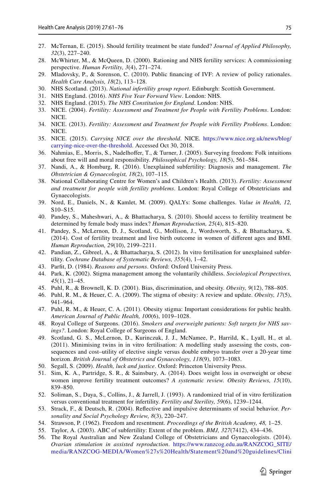- <span id="page-14-0"></span>27. McTernan, E. (2015). Should fertility treatment be state funded? *Journal of Applied Philosophy, 32*(3), 227–240.
- <span id="page-14-19"></span>28. McWhirter, M., & McQueen, D. (2000). Rationing and NHS fertility services: A commissioning perspective. *Human Fertility, 3*(4), 271–274.
- <span id="page-14-1"></span>29. Mladovsky, P., & Sorenson, C. (2010). Public fnancing of IVF: A review of policy rationales. *Health Care Analysis, 18*(2), 113–128.
- <span id="page-14-4"></span>30. NHS Scotland. (2013). *National infertility group report*. Edinburgh: Scottish Government.
- <span id="page-14-14"></span>31. NHS England. (2016). *NHS Five Year Forward View*. London: NHS.
- <span id="page-14-24"></span>32. NHS England. (2015). *The NHS Constitution for England*. London: NHS.
- <span id="page-14-7"></span>33. NICE. (2004). *Fertility: Assessment and Treatment for People with Fertility Problems*. London: NICE.
- <span id="page-14-3"></span>34. NICE. (2013). *Fertility: Assessment and Treatment for People with Fertility Problems*. London: NICE.
- <span id="page-14-12"></span>35. NICE. (2015). *Carrying NICE over the threshold*. NICE. [https://www.nice.org.uk/news/blog/](https://www.nice.org.uk/news/blog/carrying-nice-over-the-threshold) [carrying-nice-over-the-threshold.](https://www.nice.org.uk/news/blog/carrying-nice-over-the-threshold) Accessed Oct 30, 2018.
- <span id="page-14-25"></span>36. Nahmias, E., Morris, S., Nadelhofer, T., & Turner, J. (2005). Surveying freedom: Folk intuitions about free will and moral responsibility. *Philosophical Psychology, 18*(5), 561–584.
- <span id="page-14-2"></span>37. Nandi, A., & Homburg, R. (2016). Unexplained subfertility: Diagnosis and management. *The Obstetrician & Gynaecologist, 18*(2), 107–115.
- <span id="page-14-8"></span>38. National Collaborating Centre for Women's and Children's Health. (2013). *Fertility: Assessment and treatment for people with fertility problems*. London: Royal College of Obstetricians and Gynaecologists.
- <span id="page-14-13"></span>39. Nord, E., Daniels, N., & Kamlet, M. (2009). QALYs: Some challenges. *Value in Health, 12,* S10–S15.
- <span id="page-14-16"></span>40. Pandey, S., Maheshwari, A., & Bhattacharya, S. (2010). Should access to fertility treatment be determined by female body mass index? *Human Reproduction, 25*(4), 815–820.
- <span id="page-14-17"></span>41. Pandey, S., McLernon, D. J., Scotland, G., Mollison, J., Wordsworth, S., & Bhattacharya, S. (2014). Cost of fertility treatment and live birth outcome in women of diferent ages and BMI. *Human Reproduction, 29*(10), 2199–2211.
- <span id="page-14-10"></span>42. Pandian, Z., Gibreel, A., & Bhattacharya, S. (2012). In vitro fertilisation for unexplained subfertility. *Cochrane Database of Systematic Reviews, 355*(4), 1–42.
- <span id="page-14-15"></span>43. Parft, D. (1984). *Reasons and persons*. Oxford: Oxford University Press.
- <span id="page-14-20"></span>44. Park, K. (2002). Stigma management among the voluntarily childless. *Sociological Perspectives, 45*(1), 21–45.
- <span id="page-14-21"></span>45. Puhl, R., & Brownell, K. D. (2001). Bias, discrimination, and obesity. *Obesity, 9*(12), 788–805.
- 46. Puhl, R. M., & Heuer, C. A. (2009). The stigma of obesity: A review and update. *Obesity, 17*(5), 941–964.
- <span id="page-14-22"></span>47. Puhl, R. M., & Heuer, C. A. (2011). Obesity stigma: Important considerations for public health. *American Journal of Public Health, 100*(6), 1019–1028.
- <span id="page-14-23"></span>48. Royal College of Surgeons. (2016). *Smokers and overweight patients: Soft targets for NHS savings?*. London: Royal College of Surgeons of England.
- <span id="page-14-18"></span>49. Scotland, G. S., McLernon, D., Kurinczuk, J. J., McNamee, P., Harrild, K., Lyall, H., et al. (2011). Minimising twins in in vitro fertilisation: A modelling study assessing the costs, consequences and cost–utility of elective single versus double embryo transfer over a 20-year time horizon. *British Journal of Obstetrics and Gynaecology, 118*(9), 1073–1083.
- <span id="page-14-28"></span>50. Segall, S. (2009). *Health, luck and justice*. Oxford: Princeton University Press.
- <span id="page-14-6"></span>51. Sim, K. A., Partridge, S. R., & Sainsbury, A. (2014). Does weight loss in overweight or obese women improve fertility treatment outcomes? *A systematic review. Obesity Reviews, 15*(10), 839–850.
- <span id="page-14-11"></span>52. Soliman, S., Daya, S., Collins, J., & Jarrell, J. (1993). A randomized trial of in vitro fertilization versus conventional treatment for infertility. *Fertility and Sterility, 59*(6), 1239–1244.
- <span id="page-14-27"></span>53. Strack, F., & Deutsch, R. (2004). Refective and impulsive determinants of social behavior. *Personality and Social Psychology Review, 8*(3), 220–247.
- <span id="page-14-26"></span>54. Strawson, P. (1962). Freedom and resentment. *Proceedings of the British Academy, 48,* 1–25.
- <span id="page-14-9"></span>55. Taylor, A. (2003). ABC of subfertility: Extent of the problem. *BMJ, 327*(7412), 434–436.
- <span id="page-14-5"></span>56. The Royal Australian and New Zealand College of Obstetricians and Gynaecologists. (2014). *Ovarian stimulation in assisted reproduction*. [https://www.ranzcog.edu.au/RANZCOG\\_SITE/](https://www.ranzcog.edu.au/RANZCOG_SITE/media/RANZCOG-MEDIA/Women%2527s%20Health/Statement%20and%20guidelines/Clinical%20-%20Gynaecology/Ovarian-Stimulation-in-infertility-(C-Gyn-2)-Review-Mar-14.pdf%3fext%3d.pdf) [media/RANZCOG-MEDIA/Women%27s%20Health/Statement%20and%20guidelines/Clini](https://www.ranzcog.edu.au/RANZCOG_SITE/media/RANZCOG-MEDIA/Women%2527s%20Health/Statement%20and%20guidelines/Clinical%20-%20Gynaecology/Ovarian-Stimulation-in-infertility-(C-Gyn-2)-Review-Mar-14.pdf%3fext%3d.pdf)